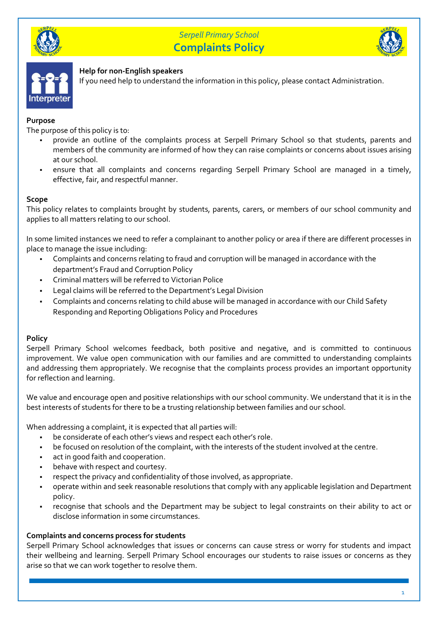





## **Help for non-English speakers**

If you need help to understand the information in this policy, please contact Administration.

## **Purpose**

The purpose of this policy is to:

- provide an outline of the complaints process at Serpell Primary School so that students, parents and members of the community are informed of how they can raise complaints or concerns about issues arising at our school.
- ensure that all complaints and concerns regarding Serpell Primary School are managed in a timely, effective, fair, and respectful manner.

## **Scope**

This policy relates to complaints brought by students, parents, carers, or members of our school community and applies to all matters relating to our school.

In some limited instances we need to refer a complainant to another policy or area if there are different processes in place to manage the issue including:

- Complaints and concerns relating to fraud and corruption will be managed in accordance with the department's Fraud and Corruption Policy
- Criminal matters will be referred to Victorian Police
- Legal claims will be referred to the Department's Legal Division
- Complaints and concerns relating to child abuse will be managed in accordance with our Child Safety Responding and Reporting Obligations Policy and Procedures

## **Policy**

Serpell Primary School welcomes feedback, both positive and negative, and is committed to continuous improvement. We value open communication with our families and are committed to understanding complaints and addressing them appropriately. We recognise that the complaints process provides an important opportunity for reflection and learning.

We value and encourage open and positive relationships with our school community. We understand that it is in the best interests of students for there to be a trusting relationship between families and our school.

When addressing a complaint, it is expected that all parties will:

- be considerate of each other's views and respect each other's role.
- be focused on resolution of the complaint, with the interests of the student involved at the centre.
- act in good faith and cooperation.
- behave with respect and courtesy.
- respect the privacy and confidentiality of those involved, as appropriate.
- operate within and seek reasonable resolutions that comply with any applicable legislation and Department policy.
- recognise that schools and the Department may be subject to legal constraints on their ability to act or disclose information in some circumstances.

## **Complaints and concerns process for students**

Serpell Primary School acknowledges that issues or concerns can cause stress or worry for students and impact their wellbeing and learning. Serpell Primary School encourages our students to raise issues or concerns as they arise so that we can work together to resolve them.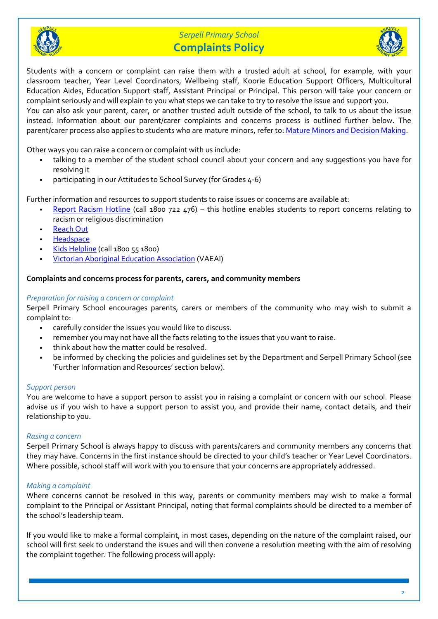



Students with a concern or complaint can raise them with a trusted adult at school, for example, with your classroom teacher, Year Level Coordinators, Wellbeing staff, Koorie Education Support Officers, Multicultural Education Aides, Education Support staff, Assistant Principal or Principal. This person will take your concern or complaint seriously and will explain to you what steps we can take to try to resolve the issue and support you. You can also ask your parent, carer, or another trusted adult outside of the school, to talk to us about the issue instead. Information about our parent/carer complaints and concerns process is outlined further below. The parent/carer process also applies to students who are mature minors, refer to: Mature Minors and Decision Making.

Other ways you can raise a concern or complaint with us include:

- talking to a member of the student school council about your concern and any suggestions you have for resolving it
- participating in our Attitudes to School Survey (for Grades  $4-6$ )

Further information and resources to support students to raise issues or concerns are available at:

- Report Racism Hotline (call 1800 722 476) this hotline enables students to report concerns relating to racism or religious discrimination
- **Reach Out**
- **Headspace**
- Kids Helpline (call 1800 55 1800)
- **Victorian Aboriginal Education Association (VAEAI)**

#### **Complaints and concerns process for parents, carers, and community members**

#### *Preparation for raising a concern or complaint*

Serpell Primary School encourages parents, carers or members of the community who may wish to submit a complaint to:

- carefully consider the issues you would like to discuss.
- remember you may not have all the facts relating to the issues that you want to raise.
- think about how the matter could be resolved.
- be informed by checking the policies and quidelines set by the Department and Serpell Primary School (see 'Further Information and Resources' section below).

#### *Support person*

You are welcome to have a support person to assist you in raising a complaint or concern with our school. Please advise us if you wish to have a support person to assist you, and provide their name, contact details, and their relationship to you.

#### *Rasing a concern*

Serpell Primary School is always happy to discuss with parents/carers and community members any concerns that they may have. Concerns in the first instance should be directed to your child's teacher or Year Level Coordinators. Where possible, school staff will work with you to ensure that your concerns are appropriately addressed.

#### *Making a complaint*

Where concerns cannot be resolved in this way, parents or community members may wish to make a formal complaint to the Principal or Assistant Principal, noting that formal complaints should be directed to a member of the school's leadership team.

If you would like to make a formal complaint, in most cases, depending on the nature of the complaint raised, our school will first seek to understand the issues and will then convene a resolution meeting with the aim of resolving the complaint together. The following process will apply: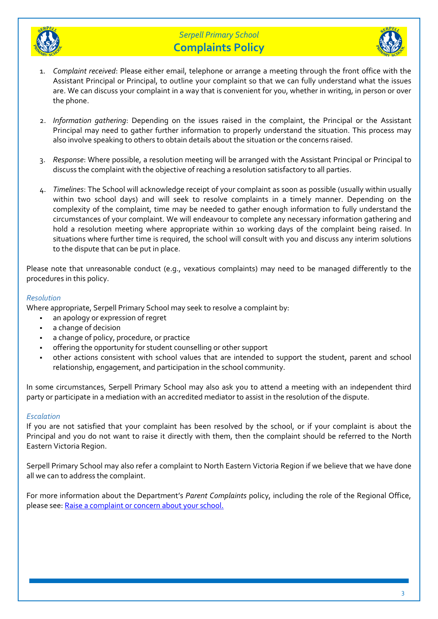



- 1. *Complaint received*: Please either email, telephone or arrange a meeting through the front office with the Assistant Principal or Principal, to outline your complaint so that we can fully understand what the issues are. We can discuss your complaint in a way that is convenient for you, whether in writing, in person or over the phone.
- 2. *Information gathering*: Depending on the issues raised in the complaint, the Principal or the Assistant Principal may need to gather further information to properly understand the situation. This process may also involve speaking to others to obtain details about the situation or the concerns raised.
- 3. *Response*: Where possible, a resolution meeting will be arranged with the Assistant Principal or Principal to discuss the complaint with the objective of reaching a resolution satisfactory to all parties.
- 4. *Timelines*: The School will acknowledge receipt of your complaint as soon as possible (usually within usually within two school days) and will seek to resolve complaints in a timely manner. Depending on the complexity of the complaint, time may be needed to gather enough information to fully understand the circumstances of your complaint. We will endeavour to complete any necessary information gathering and hold a resolution meeting where appropriate within 10 working days of the complaint being raised. In situations where further time is required, the school will consult with you and discuss any interim solutions to the dispute that can be put in place.

Please note that unreasonable conduct (e.g., vexatious complaints) may need to be managed differently to the procedures in this policy.

#### *Resolution*

Where appropriate, Serpell Primary School may seek to resolve a complaint by:

- an apology or expression of regret
- a change of decision
- a change of policy, procedure, or practice
- offering the opportunity for student counselling or other support
- other actions consistent with school values that are intended to support the student, parent and school relationship, engagement, and participation in the school community.

In some circumstances, Serpell Primary School may also ask you to attend a meeting with an independent third party or participate in a mediation with an accredited mediator to assist in the resolution of the dispute.

#### *Escalation*

If you are not satisfied that your complaint has been resolved by the school, or if your complaint is about the Principal and you do not want to raise it directly with them, then the complaint should be referred to the North Eastern Victoria Region.

Serpell Primary School may also refer a complaint to North Eastern Victoria Region if we believe that we have done all we can to address the complaint.

For more information about the Department's *Parent Complaints* policy, including the role of the Regional Office, please see: Raise a complaint or concern about your school.